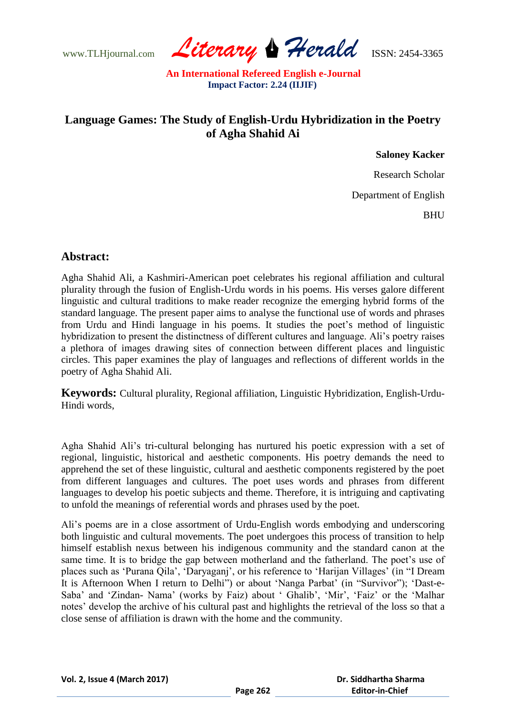www.TLHjournal.com *Literary Herald*ISSN: 2454-3365

## **Language Games: The Study of English-Urdu Hybridization in the Poetry of Agha Shahid Ai**

**Saloney Kacker**

Research Scholar

Department of English

**BHU** 

## **Abstract:**

Agha Shahid Ali, a Kashmiri-American poet celebrates his regional affiliation and cultural plurality through the fusion of English-Urdu words in his poems. His verses galore different linguistic and cultural traditions to make reader recognize the emerging hybrid forms of the standard language. The present paper aims to analyse the functional use of words and phrases from Urdu and Hindi language in his poems. It studies the poet"s method of linguistic hybridization to present the distinctness of different cultures and language. Ali's poetry raises a plethora of images drawing sites of connection between different places and linguistic circles. This paper examines the play of languages and reflections of different worlds in the poetry of Agha Shahid Ali.

**Keywords:** Cultural plurality, Regional affiliation, Linguistic Hybridization, English-Urdu-Hindi words,

Agha Shahid Ali"s tri-cultural belonging has nurtured his poetic expression with a set of regional, linguistic, historical and aesthetic components. His poetry demands the need to apprehend the set of these linguistic, cultural and aesthetic components registered by the poet from different languages and cultures. The poet uses words and phrases from different languages to develop his poetic subjects and theme. Therefore, it is intriguing and captivating to unfold the meanings of referential words and phrases used by the poet.

Ali"s poems are in a close assortment of Urdu-English words embodying and underscoring both linguistic and cultural movements. The poet undergoes this process of transition to help himself establish nexus between his indigenous community and the standard canon at the same time. It is to bridge the gap between motherland and the fatherland. The poet's use of places such as "Purana Qila", "Daryaganj", or his reference to "Harijan Villages" (in "I Dream It is Afternoon When I return to Delhi") or about 'Nanga Parbat' (in "Survivor"); 'Dast-e-Saba' and 'Zindan- Nama' (works by Faiz) about ' Ghalib', 'Mir', 'Faiz' or the 'Malhar notes' develop the archive of his cultural past and highlights the retrieval of the loss so that a close sense of affiliation is drawn with the home and the community.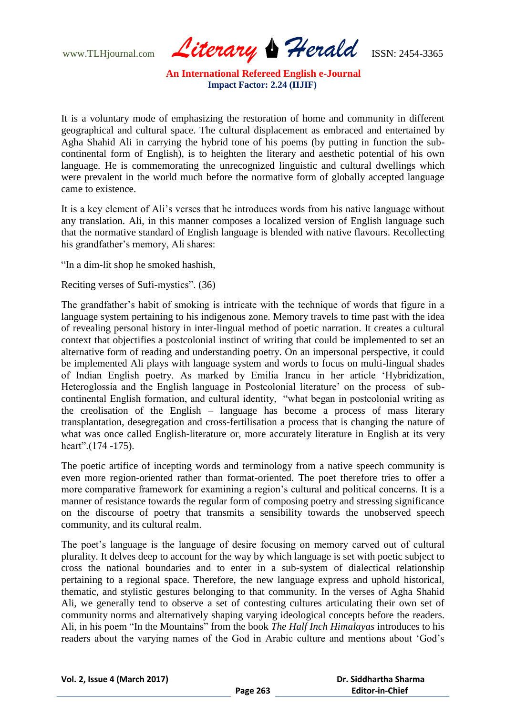www.TLHjournal.com *Literary Herald*ISSN: 2454-3365

It is a voluntary mode of emphasizing the restoration of home and community in different geographical and cultural space. The cultural displacement as embraced and entertained by Agha Shahid Ali in carrying the hybrid tone of his poems (by putting in function the subcontinental form of English), is to heighten the literary and aesthetic potential of his own language. He is commemorating the unrecognized linguistic and cultural dwellings which were prevalent in the world much before the normative form of globally accepted language came to existence.

It is a key element of Ali"s verses that he introduces words from his native language without any translation. Ali, in this manner composes a localized version of English language such that the normative standard of English language is blended with native flavours. Recollecting his grandfather's memory, Ali shares:

"In a dim-lit shop he smoked hashish,

Reciting verses of Sufi-mystics". (36)

The grandfather"s habit of smoking is intricate with the technique of words that figure in a language system pertaining to his indigenous zone. Memory travels to time past with the idea of revealing personal history in inter-lingual method of poetic narration. It creates a cultural context that objectifies a postcolonial instinct of writing that could be implemented to set an alternative form of reading and understanding poetry. On an impersonal perspective, it could be implemented Ali plays with language system and words to focus on multi-lingual shades of Indian English poetry. As marked by Emilia Irancu in her article "Hybridization, Heteroglossia and the English language in Postcolonial literature' on the process of subcontinental English formation, and cultural identity, "what began in postcolonial writing as the creolisation of the English – language has become a process of mass literary transplantation, desegregation and cross-fertilisation a process that is changing the nature of what was once called English-literature or, more accurately literature in English at its very heart".(174 -175).

The poetic artifice of incepting words and terminology from a native speech community is even more region-oriented rather than format-oriented. The poet therefore tries to offer a more comparative framework for examining a region"s cultural and political concerns. It is a manner of resistance towards the regular form of composing poetry and stressing significance on the discourse of poetry that transmits a sensibility towards the unobserved speech community, and its cultural realm.

The poet's language is the language of desire focusing on memory carved out of cultural plurality. It delves deep to account for the way by which language is set with poetic subject to cross the national boundaries and to enter in a sub-system of dialectical relationship pertaining to a regional space. Therefore, the new language express and uphold historical, thematic, and stylistic gestures belonging to that community. In the verses of Agha Shahid Ali, we generally tend to observe a set of contesting cultures articulating their own set of community norms and alternatively shaping varying ideological concepts before the readers. Ali, in his poem "In the Mountains" from the book *The Half Inch Himalayas* introduces to his readers about the varying names of the God in Arabic culture and mentions about "God"s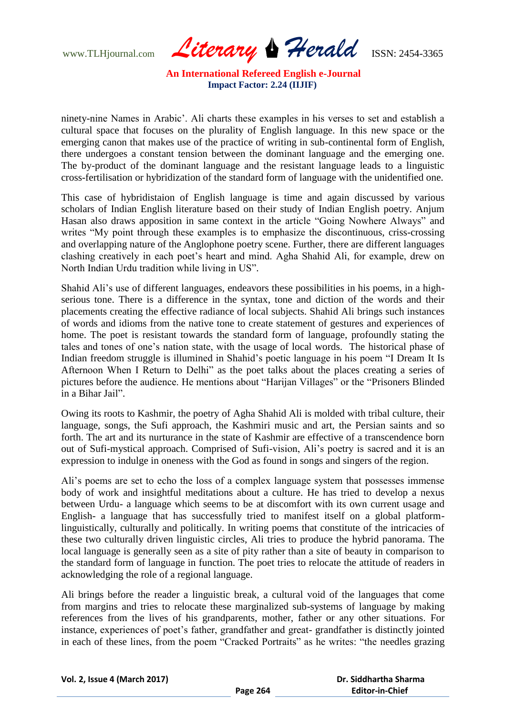www.TLHjournal.com *Literary Herald*ISSN: 2454-3365

ninety-nine Names in Arabic". Ali charts these examples in his verses to set and establish a cultural space that focuses on the plurality of English language. In this new space or the emerging canon that makes use of the practice of writing in sub-continental form of English, there undergoes a constant tension between the dominant language and the emerging one. The by-product of the dominant language and the resistant language leads to a linguistic cross-fertilisation or hybridization of the standard form of language with the unidentified one.

This case of hybridistaion of English language is time and again discussed by various scholars of Indian English literature based on their study of Indian English poetry. Anjum Hasan also draws apposition in same context in the article "Going Nowhere Always" and writes "My point through these examples is to emphasize the discontinuous, criss-crossing and overlapping nature of the Anglophone poetry scene. Further, there are different languages clashing creatively in each poet"s heart and mind. Agha Shahid Ali, for example, drew on North Indian Urdu tradition while living in US".

Shahid Ali"s use of different languages, endeavors these possibilities in his poems, in a highserious tone. There is a difference in the syntax, tone and diction of the words and their placements creating the effective radiance of local subjects. Shahid Ali brings such instances of words and idioms from the native tone to create statement of gestures and experiences of home. The poet is resistant towards the standard form of language, profoundly stating the tales and tones of one"s nation state, with the usage of local words. The historical phase of Indian freedom struggle is illumined in Shahid"s poetic language in his poem "I Dream It Is Afternoon When I Return to Delhi" as the poet talks about the places creating a series of pictures before the audience. He mentions about "Harijan Villages" or the "Prisoners Blinded in a Bihar Jail".

Owing its roots to Kashmir, the poetry of Agha Shahid Ali is molded with tribal culture, their language, songs, the Sufi approach, the Kashmiri music and art, the Persian saints and so forth. The art and its nurturance in the state of Kashmir are effective of a transcendence born out of Sufi-mystical approach. Comprised of Sufi-vision, Ali"s poetry is sacred and it is an expression to indulge in oneness with the God as found in songs and singers of the region.

Ali"s poems are set to echo the loss of a complex language system that possesses immense body of work and insightful meditations about a culture. He has tried to develop a nexus between Urdu- a language which seems to be at discomfort with its own current usage and English- a language that has successfully tried to manifest itself on a global platformlinguistically, culturally and politically. In writing poems that constitute of the intricacies of these two culturally driven linguistic circles, Ali tries to produce the hybrid panorama. The local language is generally seen as a site of pity rather than a site of beauty in comparison to the standard form of language in function. The poet tries to relocate the attitude of readers in acknowledging the role of a regional language.

Ali brings before the reader a linguistic break, a cultural void of the languages that come from margins and tries to relocate these marginalized sub-systems of language by making references from the lives of his grandparents, mother, father or any other situations. For instance, experiences of poet's father, grandfather and great- grandfather is distinctly jointed in each of these lines, from the poem "Cracked Portraits" as he writes: "the needles grazing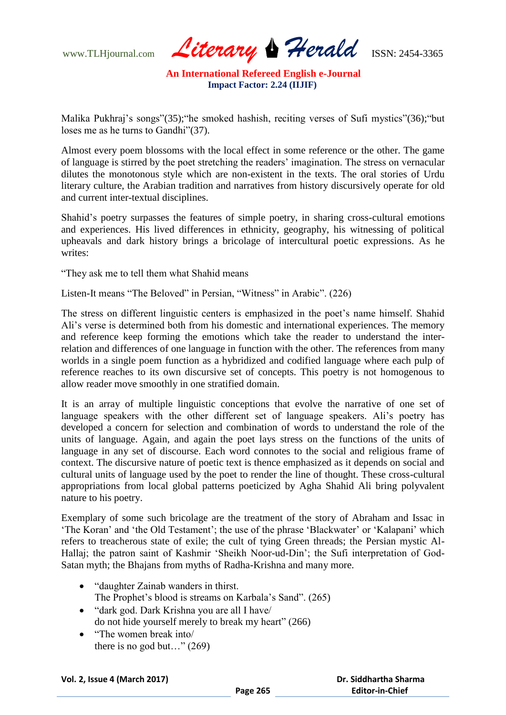www.TLHjournal.com *Literary Herald*ISSN: 2454-3365

Malika Pukhraj's songs"(35); "he smoked hashish, reciting verses of Sufi mystics"(36); "but loses me as he turns to Gandhi"(37).

Almost every poem blossoms with the local effect in some reference or the other. The game of language is stirred by the poet stretching the readers" imagination. The stress on vernacular dilutes the monotonous style which are non-existent in the texts. The oral stories of Urdu literary culture, the Arabian tradition and narratives from history discursively operate for old and current inter-textual disciplines.

Shahid"s poetry surpasses the features of simple poetry, in sharing cross-cultural emotions and experiences. His lived differences in ethnicity, geography, his witnessing of political upheavals and dark history brings a bricolage of intercultural poetic expressions. As he writes:

"They ask me to tell them what Shahid means

Listen-It means "The Beloved" in Persian, "Witness" in Arabic". (226)

The stress on different linguistic centers is emphasized in the poet"s name himself. Shahid Ali"s verse is determined both from his domestic and international experiences. The memory and reference keep forming the emotions which take the reader to understand the interrelation and differences of one language in function with the other. The references from many worlds in a single poem function as a hybridized and codified language where each pulp of reference reaches to its own discursive set of concepts. This poetry is not homogenous to allow reader move smoothly in one stratified domain.

It is an array of multiple linguistic conceptions that evolve the narrative of one set of language speakers with the other different set of language speakers. Ali's poetry has developed a concern for selection and combination of words to understand the role of the units of language. Again, and again the poet lays stress on the functions of the units of language in any set of discourse. Each word connotes to the social and religious frame of context. The discursive nature of poetic text is thence emphasized as it depends on social and cultural units of language used by the poet to render the line of thought. These cross-cultural appropriations from local global patterns poeticized by Agha Shahid Ali bring polyvalent nature to his poetry.

Exemplary of some such bricolage are the treatment of the story of Abraham and Issac in "The Koran" and "the Old Testament"; the use of the phrase "Blackwater" or "Kalapani" which refers to treacherous state of exile; the cult of tying Green threads; the Persian mystic Al-Hallaj; the patron saint of Kashmir "Sheikh Noor-ud-Din"; the Sufi interpretation of God-Satan myth; the Bhajans from myths of Radha-Krishna and many more.

- "daughter Zainab wanders in thirst. The Prophet's blood is streams on Karbala's Sand". (265)
- "dark god. Dark Krishna you are all I have/ do not hide yourself merely to break my heart" (266)
- "The women break into/ there is no god but..."  $(269)$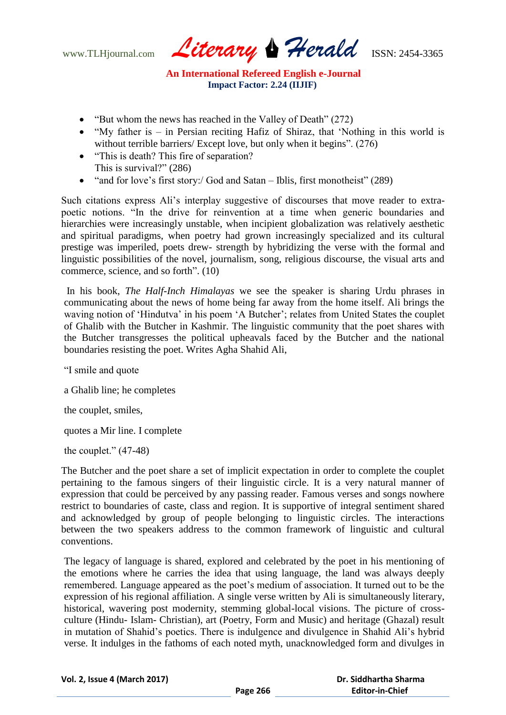www.TLHjournal.com *Literary Herald*ISSN: 2454-3365

- "But whom the news has reached in the Valley of Death" (272)
- $\bullet$  "My father is in Persian reciting Hafiz of Shiraz, that 'Nothing in this world is without terrible barriers/ Except love, but only when it begins". (276)
- "This is death? This fire of separation? This is survival?" (286)
- "and for love's first story:/ God and Satan Iblis, first monotheist" (289)

Such citations express Ali"s interplay suggestive of discourses that move reader to extrapoetic notions. "In the drive for reinvention at a time when generic boundaries and hierarchies were increasingly unstable, when incipient globalization was relatively aesthetic and spiritual paradigms, when poetry had grown increasingly specialized and its cultural prestige was imperiled, poets drew- strength by hybridizing the verse with the formal and linguistic possibilities of the novel, journalism, song, religious discourse, the visual arts and commerce, science, and so forth". (10)

In his book, *The Half-Inch Himalayas* we see the speaker is sharing Urdu phrases in communicating about the news of home being far away from the home itself. Ali brings the waving notion of 'Hindutva' in his poem 'A Butcher'; relates from United States the couplet of Ghalib with the Butcher in Kashmir. The linguistic community that the poet shares with the Butcher transgresses the political upheavals faced by the Butcher and the national boundaries resisting the poet. Writes Agha Shahid Ali,

"I smile and quote

a Ghalib line; he completes

the couplet, smiles,

quotes a Mir line. I complete

the couplet."  $(47-48)$ 

The Butcher and the poet share a set of implicit expectation in order to complete the couplet pertaining to the famous singers of their linguistic circle. It is a very natural manner of expression that could be perceived by any passing reader. Famous verses and songs nowhere restrict to boundaries of caste, class and region. It is supportive of integral sentiment shared and acknowledged by group of people belonging to linguistic circles. The interactions between the two speakers address to the common framework of linguistic and cultural conventions.

The legacy of language is shared, explored and celebrated by the poet in his mentioning of the emotions where he carries the idea that using language, the land was always deeply remembered. Language appeared as the poet"s medium of association. It turned out to be the expression of his regional affiliation. A single verse written by Ali is simultaneously literary, historical, wavering post modernity, stemming global-local visions. The picture of crossculture (Hindu- Islam- Christian), art (Poetry, Form and Music) and heritage (Ghazal) result in mutation of Shahid"s poetics. There is indulgence and divulgence in Shahid Ali"s hybrid verse. It indulges in the fathoms of each noted myth, unacknowledged form and divulges in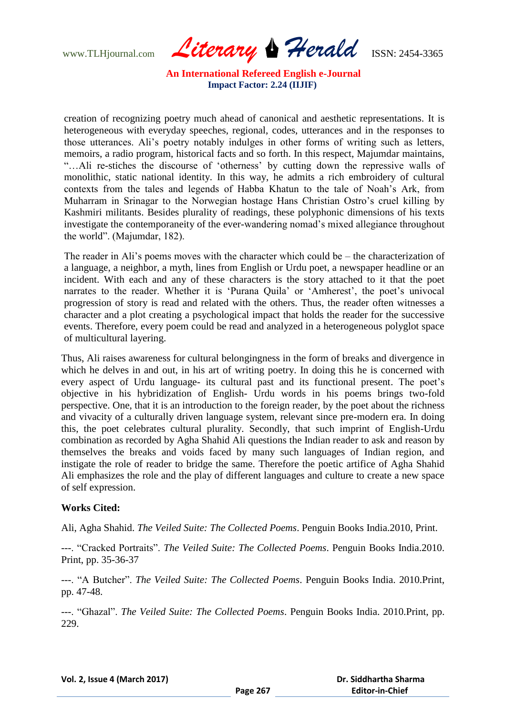www.TLHjournal.com *Literary Herald*ISSN: 2454-3365

creation of recognizing poetry much ahead of canonical and aesthetic representations. It is heterogeneous with everyday speeches, regional, codes, utterances and in the responses to those utterances. Ali"s poetry notably indulges in other forms of writing such as letters, memoirs, a radio program, historical facts and so forth. In this respect, Majumdar maintains, "…Ali re-stiches the discourse of "otherness" by cutting down the repressive walls of monolithic, static national identity. In this way, he admits a rich embroidery of cultural contexts from the tales and legends of Habba Khatun to the tale of Noah"s Ark, from Muharram in Srinagar to the Norwegian hostage Hans Christian Ostro"s cruel killing by Kashmiri militants. Besides plurality of readings, these polyphonic dimensions of his texts investigate the contemporaneity of the ever-wandering nomad's mixed allegiance throughout the world". (Majumdar, 182).

The reader in Ali's poems moves with the character which could be – the characterization of a language, a neighbor, a myth, lines from English or Urdu poet, a newspaper headline or an incident. With each and any of these characters is the story attached to it that the poet narrates to the reader. Whether it is 'Purana Quila' or 'Amherest', the poet's univocal progression of story is read and related with the others. Thus, the reader often witnesses a character and a plot creating a psychological impact that holds the reader for the successive events. Therefore, every poem could be read and analyzed in a heterogeneous polyglot space of multicultural layering.

Thus, Ali raises awareness for cultural belongingness in the form of breaks and divergence in which he delves in and out, in his art of writing poetry. In doing this he is concerned with every aspect of Urdu language- its cultural past and its functional present. The poet's objective in his hybridization of English- Urdu words in his poems brings two-fold perspective. One, that it is an introduction to the foreign reader, by the poet about the richness and vivacity of a culturally driven language system, relevant since pre-modern era. In doing this, the poet celebrates cultural plurality. Secondly, that such imprint of English-Urdu combination as recorded by Agha Shahid Ali questions the Indian reader to ask and reason by themselves the breaks and voids faced by many such languages of Indian region, and instigate the role of reader to bridge the same. Therefore the poetic artifice of Agha Shahid Ali emphasizes the role and the play of different languages and culture to create a new space of self expression.

## **Works Cited:**

Ali, Agha Shahid. *The Veiled Suite: The Collected Poems*. Penguin Books India.2010, Print.

---. "Cracked Portraits". *The Veiled Suite: The Collected Poems*. Penguin Books India.2010. Print, pp. 35-36-37

---. "A Butcher". *The Veiled Suite: The Collected Poems*. Penguin Books India. 2010.Print, pp. 47-48.

---. "Ghazal". *The Veiled Suite: The Collected Poems*. Penguin Books India. 2010.Print, pp. 229.